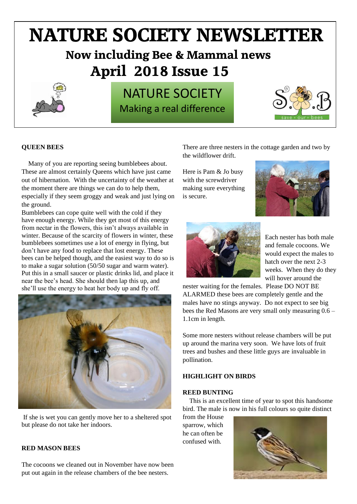# **NATURE SOCIETY NEWSLETTER Now including Bee & Mammal news April 2018 Issue 15**



# NATURE SOCIETY Making a real difference



# **QUEEN BEES**

Many of you are reporting seeing bumblebees about. These are almost certainly Queens which have just came out of hibernation. With the uncertainty of the weather at the moment there are things we can do to help them, especially if they seem groggy and weak and just lying on the ground.

Bumblebees can cope quite well with the cold if they have enough energy. While they get most of this energy from nectar in the flowers, this isn't always available in winter. Because of the scarcity of flowers in winter, these bumblebees sometimes use a lot of energy in flying, but don't have any food to replace that lost energy. These bees can be helped though, and the easiest way to do so is to make a sugar solution (50/50 sugar and warm water). Put this in a small saucer or plastic drinks lid, and place it near the bee's head. She should then lap this up, and she'll use the energy to heat her body up and fly off.



If she is wet you can gently move her to a sheltered spot but please do not take her indoors.

### **RED MASON BEES**

The cocoons we cleaned out in November have now been put out again in the release chambers of the bee nesters.

There are three nesters in the cottage garden and two by the wildflower drift.

Here is Pam & Jo busy with the screwdriver making sure everything is secure.





Each nester has both male and female cocoons. We would expect the males to hatch over the next 2-3 weeks. When they do they will hover around the

nester waiting for the females. Please DO NOT BE ALARMED these bees are completely gentle and the males have no stings anyway. Do not expect to see big bees the Red Masons are very small only measuring 0.6 – 1.1cm in length.

Some more nesters without release chambers will be put up around the marina very soon. We have lots of fruit trees and bushes and these little guys are invaluable in pollination.

# **HIGHLIGHT ON BIRDS**

#### **REED BUNTING**

This is an excellent time of year to spot this handsome bird. The male is now in his full colours so quite distinct

from the House sparrow, which he can often be confused with.

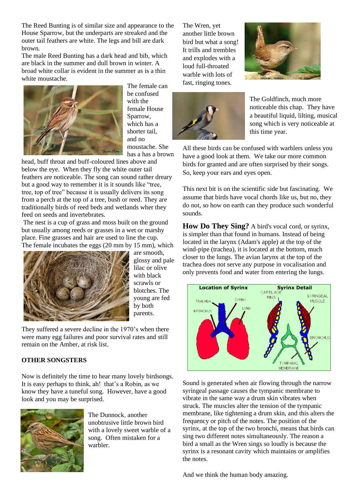The Reed Bunting is of similar size and appearance to the House Sparrow, but the underparts are streaked and the outer tail feathers are white. The legs and bill are dark brown.

The male Reed Bunting has a dark head and bib, which are black in the summer and dull brown in winter. A broad white collar is evident in the summer as is a thin white moustache.



The female can be confused with the female House Sparrow, which has a shorter tail, and no moustache. She has a has a brown

head, buff throat and buff-coloured lines above and below the eye. When they fly the white outer tail feathers are noticeable. The song can sound rather dreary but a good way to remember it is it sounds like "tree, tree, top of tree" because it is usually delivers its song from a perch at the top of a tree, bush or reed. They are traditionally birds of reed beds and wetlands wher they feed on seeds and invertebrates.

The nest is a cup of grass and moss built on the ground but usually among reeds or grasses in a wet or marshy place. Fine grasses and hair are used to line the cup. The female incubates the eggs (20 mm by 15 mm), which



are smooth, glossy and pale lilac or olive with black scrawls or blotches. The young are fed by both parents.

They suffered a severe decline in the 1970's when there were many egg failures and poor survival rates and still remain on the Amber, at risk list.

# **OTHER SONGSTERS**

Now is definitely the time to hear many lovely birdsongs. It is easy perhaps to think, ah! that's a Robin, as we know they have a tuneful song. However, have a good look and you may be surprised.



The Dunnock, another unobtrusive little brown bird with a lovely sweet warble of a song. Often mistaken for a warbler.

The Wren, yet another little brown bird but what a song! It trills and trembles and explodes with a loud full-throated warble with lots of fast, ringing tones.





The Goldfinch, much more noticeable this chap. They have a beautiful liquid, lilting, musical song which is very noticeable at this time year.

All these birds can be confused with warblers unless you have a good look at them. We take our more common birds for granted and are often surprised by their songs. So, keep your ears and eyes open.

This next bit is on the scientific side but fascinating. We assume that birds have vocal chords like us, but no, they do not, so how on earth can they produce such wonderful sounds.

**How Do They Sing?** A bird's vocal cord, or syrinx, is simpler than that found in humans. Instead of being located in the larynx (Adam's apple) at the top of the wind-pipe (trachea), it is located at the bottom, much closer to the lungs. The avian larynx at the top of the trachea does not serve any purpose in vocalisation and only prevents food and water from entering the lungs.



Sound is generated when air flowing through the narrow syringeal passage causes the tympanic membrane to vibrate in the same way a drum skin vibrates when struck. The muscles alter the tension of the tympanic membrane, like tightening a drum skin, and this alters the frequency or pitch of the notes. The position of the syrinx, at the top of the two bronchi, means that birds can sing two different notes simultaneously. The reason a bird a small as the [Wren](http://www.garden-birds.co.uk/birds/wren.htm) sings so loudly is because the syrinx is a resonant cavity which maintains or amplifies the notes.

And we think the human body amazing.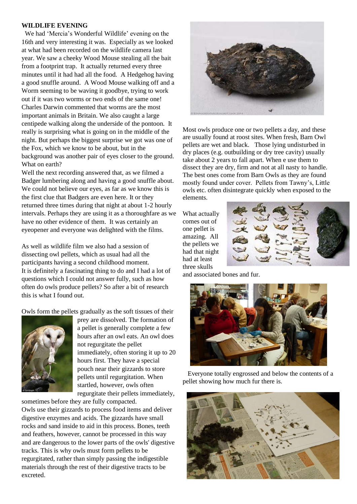#### **WILDLIFE EVENING**

 We had 'Mercia's Wonderful Wildlife' evening on the 16th and very interesting it was. Especially as we looked at what had been recorded on the wildlife camera last year. We saw a cheeky Wood Mouse stealing all the bait from a footprint trap. It actually returned every three minutes until it had had all the food. A Hedgehog having a good snuffle around. A Wood Mouse walking off and a Worm seeming to be waving it goodbye, trying to work out if it was two worms or two ends of the same one! Charles Darwin commented that worms are the most important animals in Britain. We also caught a large centipede walking along the underside of the pontoon. It really is surprising what is going on in the middle of the night. But perhaps the biggest surprise we got was one of the Fox, which we know to be about, but in the background was another pair of eyes closer to the ground. What on earth?

Well the next recording answered that, as we filmed a Badger lumbering along and having a good snuffle about. We could not believe our eyes, as far as we know this is the first clue that Badgers are even here. It or they returned three times during that night at about 1-2 hourly intervals. Perhaps they are using it as a thoroughfare as we have no other evidence of them. It was certainly an eyeopener and everyone was delighted with the films.

As well as wildlife film we also had a session of dissecting owl pellets, which as usual had all the participants having a second childhood moment. It is definitely a fascinating thing to do and I had a lot of questions which I could not answer fully, such as how often do owls produce pellets? So after a bit of research this is what I found out.

Owls form the pellets gradually as the soft tissues of their



prey are dissolved. The formation of a pellet is generally complete a few hours after an owl eats. An owl does not regurgitate the pellet immediately, often storing it up to 20 hours first. They have a special pouch near their gizzards to store pellets until regurgitation. When startled, however, owls often regurgitate their pellets immediately,

sometimes before they are fully compacted.

Owls use their gizzards to process food items and deliver digestive enzymes and acids. The gizzards have small rocks and sand inside to aid in this process. Bones, teeth and feathers, however, cannot be processed in this way and are dangerous to the lower parts of the owls' digestive tracks. This is why owls must form pellets to be regurgitated, rather than simply passing the indigestible materials through the rest of their digestive tracts to be excreted.



Most owls produce one or two pellets a day, and these are usually found at roost sites. When fresh, Barn Owl pellets are wet and black. Those lying undisturbed in dry places (e.g. outbuilding or dry tree cavity) usually take about 2 years to fall apart. When e use them to dissect they are dry, firm and not at all nasty to handle. The best ones come from Barn Owls as they are found mostly found under cover. Pellets from Tawny's, Little owls etc. often disintegrate quickly when exposed to the elements.

What actually comes out of one pellet is amazing. All the pellets we had that night had at least three skulls



and associated bones and fur.



 Everyone totally engrossed and below the contents of a pellet showing how much fur there is.